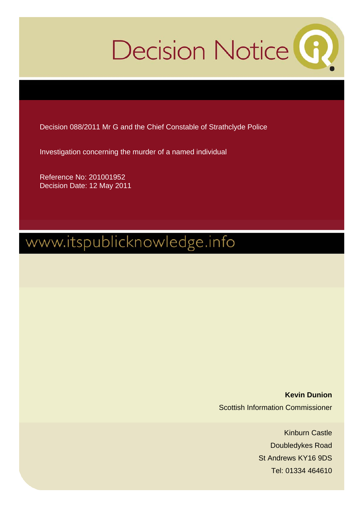# Decision Notice<sup>(6)</sup>

Decision 088/2011 Mr G and the Chief Constable of Strathclyde Police

Investigation concerning the murder of a named individual

Reference No: 201001952 Decision Date: 12 May 2011

# www.itspublicknowledge.info

**Kevin Dunion**  Scottish Information Commissioner

> Kinburn Castle Doubledykes Road St Andrews KY16 9DS Tel: 01334 464610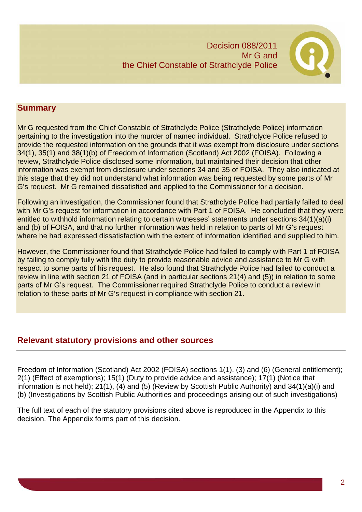

# **Summary**

Mr G requested from the Chief Constable of Strathclyde Police (Strathclyde Police) information pertaining to the investigation into the murder of named individual. Strathclyde Police refused to provide the requested information on the grounds that it was exempt from disclosure under sections 34(1), 35(1) and 38(1)(b) of Freedom of Information (Scotland) Act 2002 (FOISA). Following a review, Strathclyde Police disclosed some information, but maintained their decision that other information was exempt from disclosure under sections 34 and 35 of FOISA. They also indicated at this stage that they did not understand what information was being requested by some parts of Mr G's request. Mr G remained dissatisfied and applied to the Commissioner for a decision.

Following an investigation, the Commissioner found that Strathclyde Police had partially failed to deal with Mr G's request for information in accordance with Part 1 of FOISA. He concluded that they were entitled to withhold information relating to certain witnesses' statements under sections 34(1)(a)(i) and (b) of FOISA, and that no further information was held in relation to parts of Mr G's request where he had expressed dissatisfaction with the extent of information identified and supplied to him.

However, the Commissioner found that Strathclyde Police had failed to comply with Part 1 of FOISA by failing to comply fully with the duty to provide reasonable advice and assistance to Mr G with respect to some parts of his request. He also found that Strathclyde Police had failed to conduct a review in line with section 21 of FOISA (and in particular sections 21(4) and (5)) in relation to some parts of Mr G's request. The Commissioner required Strathclyde Police to conduct a review in relation to these parts of Mr G's request in compliance with section 21.

# **Relevant statutory provisions and other sources**

Freedom of Information (Scotland) Act 2002 (FOISA) sections 1(1), (3) and (6) (General entitlement); 2(1) (Effect of exemptions); 15(1) (Duty to provide advice and assistance); 17(1) (Notice that information is not held); 21(1), (4) and (5) (Review by Scottish Public Authority) and 34(1)(a)(i) and (b) (Investigations by Scottish Public Authorities and proceedings arising out of such investigations)

The full text of each of the statutory provisions cited above is reproduced in the Appendix to this decision. The Appendix forms part of this decision.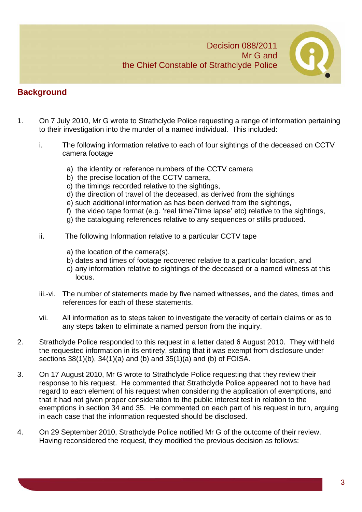

# **Background**

- 1. On 7 July 2010, Mr G wrote to Strathclyde Police requesting a range of information pertaining to their investigation into the murder of a named individual. This included:
	- i. The following information relative to each of four sightings of the deceased on CCTV camera footage
		- a) the identity or reference numbers of the CCTV camera
		- b) the precise location of the CCTV camera,
		- c) the timings recorded relative to the sightings,
		- d) the direction of travel of the deceased, as derived from the sightings
		- e) such additional information as has been derived from the sightings,
		- f) the video tape format (e.g. 'real time'/'time lapse' etc) relative to the sightings,
		- g) the cataloguing references relative to any sequences or stills produced.
	- ii. The following Information relative to a particular CCTV tape
		- a) the location of the camera(s),
		- b) dates and times of footage recovered relative to a particular location, and
		- c) any information relative to sightings of the deceased or a named witness at this locus.
	- iii.-vi. The number of statements made by five named witnesses, and the dates, times and references for each of these statements.
	- vii. All information as to steps taken to investigate the veracity of certain claims or as to any steps taken to eliminate a named person from the inquiry.
- 2. Strathclyde Police responded to this request in a letter dated 6 August 2010. They withheld the requested information in its entirety, stating that it was exempt from disclosure under sections 38(1)(b), 34(1)(a) and (b) and 35(1)(a) and (b) of FOISA.
- 3. On 17 August 2010, Mr G wrote to Strathclyde Police requesting that they review their response to his request. He commented that Strathclyde Police appeared not to have had regard to each element of his request when considering the application of exemptions, and that it had not given proper consideration to the public interest test in relation to the exemptions in section 34 and 35. He commented on each part of his request in turn, arguing in each case that the information requested should be disclosed.
- 4. On 29 September 2010, Strathclyde Police notified Mr G of the outcome of their review. Having reconsidered the request, they modified the previous decision as follows: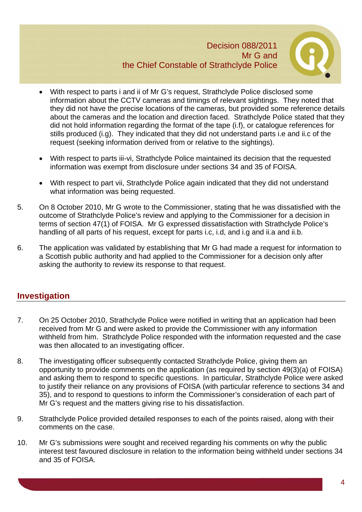

- With respect to parts i and ii of Mr G's request, Strathclyde Police disclosed some information about the CCTV cameras and timings of relevant sightings. They noted that they did not have the precise locations of the cameras, but provided some reference details about the cameras and the location and direction faced. Strathclyde Police stated that they did not hold information regarding the format of the tape (i.f), or catalogue references for stills produced (i.g). They indicated that they did not understand parts i.e and ii.c of the request (seeking information derived from or relative to the sightings).
- With respect to parts iii-vi, Strathclyde Police maintained its decision that the requested information was exempt from disclosure under sections 34 and 35 of FOISA.
- With respect to part vii, Strathclyde Police again indicated that they did not understand what information was being requested.
- 5. On 8 October 2010, Mr G wrote to the Commissioner, stating that he was dissatisfied with the outcome of Strathclyde Police's review and applying to the Commissioner for a decision in terms of section 47(1) of FOISA. Mr G expressed dissatisfaction with Strathclyde Police's handling of all parts of his request, except for parts i.c, i.d, and i.g and ii.a and ii.b.
- 6. The application was validated by establishing that Mr G had made a request for information to a Scottish public authority and had applied to the Commissioner for a decision only after asking the authority to review its response to that request.

# **Investigation**

- 7. On 25 October 2010, Strathclyde Police were notified in writing that an application had been received from Mr G and were asked to provide the Commissioner with any information withheld from him. Strathclyde Police responded with the information requested and the case was then allocated to an investigating officer.
- 8. The investigating officer subsequently contacted Strathclyde Police, giving them an opportunity to provide comments on the application (as required by section 49(3)(a) of FOISA) and asking them to respond to specific questions. In particular, Strathclyde Police were asked to justify their reliance on any provisions of FOISA (with particular reference to sections 34 and 35), and to respond to questions to inform the Commissioner's consideration of each part of Mr G's request and the matters giving rise to his dissatisfaction.
- 9. Strathclyde Police provided detailed responses to each of the points raised, along with their comments on the case.
- 10. Mr G's submissions were sought and received regarding his comments on why the public interest test favoured disclosure in relation to the information being withheld under sections 34 and 35 of FOISA.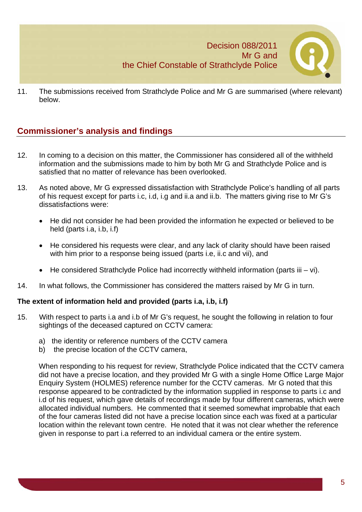

11. The submissions received from Strathclyde Police and Mr G are summarised (where relevant) below.

# **Commissioner's analysis and findings**

- 12. In coming to a decision on this matter, the Commissioner has considered all of the withheld information and the submissions made to him by both Mr G and Strathclyde Police and is satisfied that no matter of relevance has been overlooked.
- 13. As noted above, Mr G expressed dissatisfaction with Strathclyde Police's handling of all parts of his request except for parts i.c, i.d, i.g and ii.a and ii.b. The matters giving rise to Mr G's dissatisfactions were:
	- He did not consider he had been provided the information he expected or believed to be held (parts i.a, i.b, i.f)
	- He considered his requests were clear, and any lack of clarity should have been raised with him prior to a response being issued (parts i.e, ii.c and vii), and
	- He considered Strathclyde Police had incorrectly withheld information (parts iii vi).
- 14. In what follows, the Commissioner has considered the matters raised by Mr G in turn.

#### **The extent of information held and provided (parts i.a, i.b, i.f)**

- 15. With respect to parts i.a and i.b of Mr G's request, he sought the following in relation to four sightings of the deceased captured on CCTV camera:
	- a) the identity or reference numbers of the CCTV camera
	- b) the precise location of the CCTV camera,

When responding to his request for review, Strathclyde Police indicated that the CCTV camera did not have a precise location, and they provided Mr G with a single Home Office Large Major Enquiry System (HOLMES) reference number for the CCTV cameras. Mr G noted that this response appeared to be contradicted by the information supplied in response to parts i.c and i.d of his request, which gave details of recordings made by four different cameras, which were allocated individual numbers. He commented that it seemed somewhat improbable that each of the four cameras listed did not have a precise location since each was fixed at a particular location within the relevant town centre. He noted that it was not clear whether the reference given in response to part i.a referred to an individual camera or the entire system.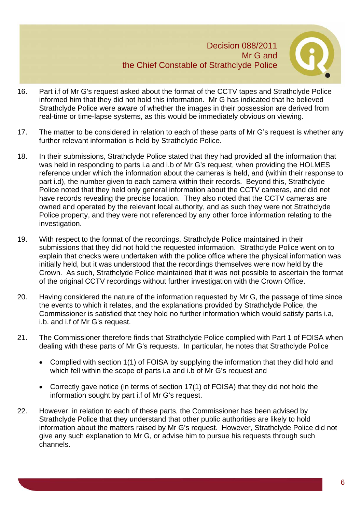

- 16. Part i.f of Mr G's request asked about the format of the CCTV tapes and Strathclyde Police informed him that they did not hold this information. Mr G has indicated that he believed Strathclyde Police were aware of whether the images in their possession are derived from real-time or time-lapse systems, as this would be immediately obvious on viewing.
- 17. The matter to be considered in relation to each of these parts of Mr G's request is whether any further relevant information is held by Strathclyde Police.
- 18. In their submissions, Strathclyde Police stated that they had provided all the information that was held in responding to parts i.a and i.b of Mr G's request, when providing the HOLMES reference under which the information about the cameras is held, and (within their response to part i.d), the number given to each camera within their records. Beyond this, Strathclyde Police noted that they held only general information about the CCTV cameras, and did not have records revealing the precise location. They also noted that the CCTV cameras are owned and operated by the relevant local authority, and as such they were not Strathclyde Police property, and they were not referenced by any other force information relating to the investigation.
- 19. With respect to the format of the recordings, Strathclyde Police maintained in their submissions that they did not hold the requested information. Strathclyde Police went on to explain that checks were undertaken with the police office where the physical information was initially held, but it was understood that the recordings themselves were now held by the Crown. As such, Strathclyde Police maintained that it was not possible to ascertain the format of the original CCTV recordings without further investigation with the Crown Office.
- 20. Having considered the nature of the information requested by Mr G, the passage of time since the events to which it relates, and the explanations provided by Strathclyde Police, the Commissioner is satisfied that they hold no further information which would satisfy parts i.a, i.b. and i.f of Mr G's request.
- 21. The Commissioner therefore finds that Strathclyde Police complied with Part 1 of FOISA when dealing with these parts of Mr G's requests. In particular, he notes that Strathclyde Police
	- Complied with section 1(1) of FOISA by supplying the information that they did hold and which fell within the scope of parts i.a and i.b of Mr G's request and
	- Correctly gave notice (in terms of section 17(1) of FOISA) that they did not hold the information sought by part i.f of Mr G's request.
- 22. However, in relation to each of these parts, the Commissioner has been advised by Strathclyde Police that they understand that other public authorities are likely to hold information about the matters raised by Mr G's request. However, Strathclyde Police did not give any such explanation to Mr G, or advise him to pursue his requests through such channels.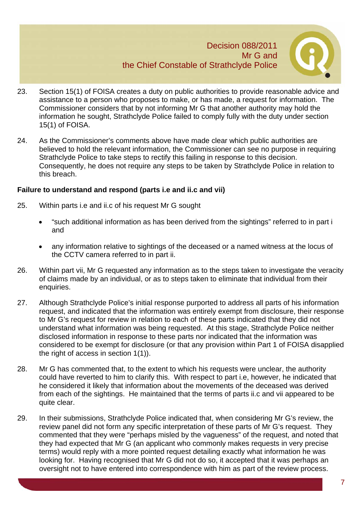

- 23. Section 15(1) of FOISA creates a duty on public authorities to provide reasonable advice and assistance to a person who proposes to make, or has made, a request for information. The Commissioner considers that by not informing Mr G that another authority may hold the information he sought, Strathclyde Police failed to comply fully with the duty under section 15(1) of FOISA.
- 24. As the Commissioner's comments above have made clear which public authorities are believed to hold the relevant information, the Commissioner can see no purpose in requiring Strathclyde Police to take steps to rectify this failing in response to this decision. Consequently, he does not require any steps to be taken by Strathclyde Police in relation to this breach.

#### **Failure to understand and respond (parts i.e and ii.c and vii)**

- 25. Within parts i.e and ii.c of his request Mr G sought
	- "such additional information as has been derived from the sightings" referred to in part i and
	- any information relative to sightings of the deceased or a named witness at the locus of the CCTV camera referred to in part ii.
- 26. Within part vii, Mr G requested any information as to the steps taken to investigate the veracity of claims made by an individual, or as to steps taken to eliminate that individual from their enquiries.
- 27. Although Strathclyde Police's initial response purported to address all parts of his information request, and indicated that the information was entirely exempt from disclosure, their response to Mr G's request for review in relation to each of these parts indicated that they did not understand what information was being requested. At this stage, Strathclyde Police neither disclosed information in response to these parts nor indicated that the information was considered to be exempt for disclosure (or that any provision within Part 1 of FOISA disapplied the right of access in section 1(1)).
- 28. Mr G has commented that, to the extent to which his requests were unclear, the authority could have reverted to him to clarify this. With respect to part i.e, however, he indicated that he considered it likely that information about the movements of the deceased was derived from each of the sightings. He maintained that the terms of parts ii.c and vii appeared to be quite clear.
- 29. In their submissions, Strathclyde Police indicated that, when considering Mr G's review, the review panel did not form any specific interpretation of these parts of Mr G's request. They commented that they were "perhaps misled by the vagueness" of the request, and noted that they had expected that Mr G (an applicant who commonly makes requests in very precise terms) would reply with a more pointed request detailing exactly what information he was looking for. Having recognised that Mr G did not do so, it accepted that it was perhaps an oversight not to have entered into correspondence with him as part of the review process.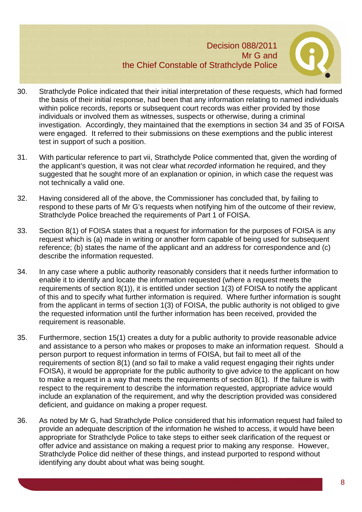

- 30. Strathclyde Police indicated that their initial interpretation of these requests, which had formed the basis of their initial response, had been that any information relating to named individuals within police records, reports or subsequent court records was either provided by those individuals or involved them as witnesses, suspects or otherwise, during a criminal investigation. Accordingly, they maintained that the exemptions in section 34 and 35 of FOISA were engaged. It referred to their submissions on these exemptions and the public interest test in support of such a position.
- 31. With particular reference to part vii, Strathclyde Police commented that, given the wording of the applicant's question, it was not clear what *recorded* information he required, and they suggested that he sought more of an explanation or opinion, in which case the request was not technically a valid one.
- 32. Having considered all of the above, the Commissioner has concluded that, by failing to respond to these parts of Mr G's requests when notifying him of the outcome of their review, Strathclyde Police breached the requirements of Part 1 of FOISA.
- 33. Section 8(1) of FOISA states that a request for information for the purposes of FOISA is any request which is (a) made in writing or another form capable of being used for subsequent reference; (b) states the name of the applicant and an address for correspondence and (c) describe the information requested.
- 34. In any case where a public authority reasonably considers that it needs further information to enable it to identify and locate the information requested (where a request meets the requirements of section 8(1)), it is entitled under section 1(3) of FOISA to notify the applicant of this and to specify what further information is required. Where further information is sought from the applicant in terms of section 1(3) of FOISA, the public authority is not obliged to give the requested information until the further information has been received, provided the requirement is reasonable.
- 35. Furthermore, section 15(1) creates a duty for a public authority to provide reasonable advice and assistance to a person who makes or proposes to make an information request. Should a person purport to request information in terms of FOISA, but fail to meet all of the requirements of section 8(1) (and so fail to make a valid request engaging their rights under FOISA), it would be appropriate for the public authority to give advice to the applicant on how to make a request in a way that meets the requirements of section 8(1). If the failure is with respect to the requirement to describe the information requested, appropriate advice would include an explanation of the requirement, and why the description provided was considered deficient, and guidance on making a proper request.
- 36. As noted by Mr G, had Strathclyde Police considered that his information request had failed to provide an adequate description of the information he wished to access, it would have been appropriate for Strathclyde Police to take steps to either seek clarification of the request or offer advice and assistance on making a request prior to making any response. However, Strathclyde Police did neither of these things, and instead purported to respond without identifying any doubt about what was being sought.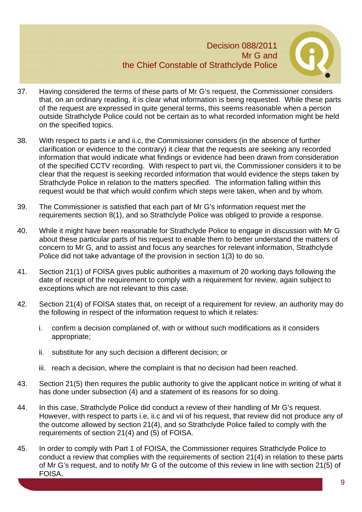

- 37. Having considered the terms of these parts of Mr G's request, the Commissioner considers that, on an ordinary reading, it is clear what information is being requested. While these parts of the request are expressed in quite general terms, this seems reasonable when a person outside Strathclyde Police could not be certain as to what recorded information might be held on the specified topics.
- 38. With respect to parts i.e and ii.c, the Commissioner considers (in the absence of further clarification or evidence to the contrary) it clear that the requests are seeking any recorded information that would indicate what findings or evidence had been drawn from consideration of the specified CCTV recording. With respect to part vii, the Commissioner considers it to be clear that the request is seeking recorded information that would evidence the steps taken by Strathclyde Police in relation to the matters specified. The information falling within this request would be that which would confirm which steps were taken, when and by whom.
- 39. The Commissioner is satisfied that each part of Mr G's information request met the requirements section 8(1), and so Strathclyde Police was obliged to provide a response.
- 40. While it might have been reasonable for Strathclyde Police to engage in discussion with Mr G about these particular parts of his request to enable them to better understand the matters of concern to Mr G, and to assist and focus any searches for relevant information, Strathclyde Police did not take advantage of the provision in section 1(3) to do so.
- 41. Section 21(1) of FOISA gives public authorities a maximum of 20 working days following the date of receipt of the requirement to comply with a requirement for review, again subject to exceptions which are not relevant to this case.
- 42. Section 21(4) of FOISA states that, on receipt of a requirement for review, an authority may do the following in respect of the information request to which it relates:
	- i. confirm a decision complained of, with or without such modifications as it considers appropriate;
	- ii. substitute for any such decision a different decision; or
	- iii. reach a decision, where the complaint is that no decision had been reached.
- 43. Section 21(5) then requires the public authority to give the applicant notice in writing of what it has done under subsection (4) and a statement of its reasons for so doing.
- 44. In this case, Strathclyde Police did conduct a review of their handling of Mr G's request. However, with respect to parts i.e, ii.c and vii of his request, that review did not produce any of the outcome allowed by section 21(4), and so Strathclyde Police failed to comply with the requirements of section 21(4) and (5) of FOISA.
- 45. In order to comply with Part 1 of FOISA, the Commissioner requires Strathclyde Police to conduct a review that complies with the requirements of section 21(4) in relation to these parts of Mr G's request, and to notify Mr G of the outcome of this review in line with section 21(5) of FOISA.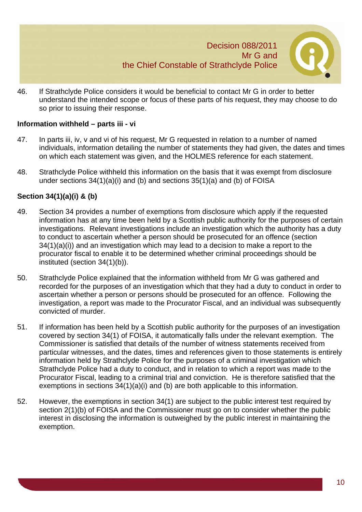

46. If Strathclyde Police considers it would be beneficial to contact Mr G in order to better understand the intended scope or focus of these parts of his request, they may choose to do so prior to issuing their response.

#### **Information withheld – parts iii - vi**

- 47. In parts iii, iv, v and vi of his request, Mr G requested in relation to a number of named individuals, information detailing the number of statements they had given, the dates and times on which each statement was given, and the HOLMES reference for each statement.
- 48. Strathclyde Police withheld this information on the basis that it was exempt from disclosure under sections 34(1)(a)(i) and (b) and sections 35(1)(a) and (b) of FOISA

#### **Section 34(1)(a)(i) & (b)**

- 49. Section 34 provides a number of exemptions from disclosure which apply if the requested information has at any time been held by a Scottish public authority for the purposes of certain investigations. Relevant investigations include an investigation which the authority has a duty to conduct to ascertain whether a person should be prosecuted for an offence (section 34(1)(a)(i)) and an investigation which may lead to a decision to make a report to the procurator fiscal to enable it to be determined whether criminal proceedings should be instituted (section 34(1)(b)).
- 50. Strathclyde Police explained that the information withheld from Mr G was gathered and recorded for the purposes of an investigation which that they had a duty to conduct in order to ascertain whether a person or persons should be prosecuted for an offence. Following the investigation, a report was made to the Procurator Fiscal, and an individual was subsequently convicted of murder.
- 51. If information has been held by a Scottish public authority for the purposes of an investigation covered by section 34(1) of FOISA, it automatically falls under the relevant exemption. The Commissioner is satisfied that details of the number of witness statements received from particular witnesses, and the dates, times and references given to those statements is entirely information held by Strathclyde Police for the purposes of a criminal investigation which Strathclyde Police had a duty to conduct, and in relation to which a report was made to the Procurator Fiscal, leading to a criminal trial and conviction. He is therefore satisfied that the exemptions in sections 34(1)(a)(i) and (b) are both applicable to this information.
- 52. However, the exemptions in section 34(1) are subject to the public interest test required by section 2(1)(b) of FOISA and the Commissioner must go on to consider whether the public interest in disclosing the information is outweighed by the public interest in maintaining the exemption.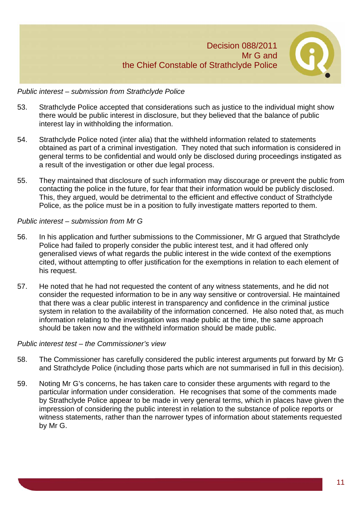

#### *Public interest – submission from Strathclyde Police*

- 53. Strathclyde Police accepted that considerations such as justice to the individual might show there would be public interest in disclosure, but they believed that the balance of public interest lay in withholding the information.
- 54. Strathclyde Police noted (inter alia) that the withheld information related to statements obtained as part of a criminal investigation. They noted that such information is considered in general terms to be confidential and would only be disclosed during proceedings instigated as a result of the investigation or other due legal process.
- 55. They maintained that disclosure of such information may discourage or prevent the public from contacting the police in the future, for fear that their information would be publicly disclosed. This, they argued, would be detrimental to the efficient and effective conduct of Strathclyde Police, as the police must be in a position to fully investigate matters reported to them.

#### *Public interest – submission from Mr G*

- 56. In his application and further submissions to the Commissioner, Mr G argued that Strathclyde Police had failed to properly consider the public interest test, and it had offered only generalised views of what regards the public interest in the wide context of the exemptions cited, without attempting to offer justification for the exemptions in relation to each element of his request.
- 57. He noted that he had not requested the content of any witness statements, and he did not consider the requested information to be in any way sensitive or controversial. He maintained that there was a clear public interest in transparency and confidence in the criminal justice system in relation to the availability of the information concerned. He also noted that, as much information relating to the investigation was made public at the time, the same approach should be taken now and the withheld information should be made public.

#### *Public interest test – the Commissioner's view*

- 58. The Commissioner has carefully considered the public interest arguments put forward by Mr G and Strathclyde Police (including those parts which are not summarised in full in this decision).
- 59. Noting Mr G's concerns, he has taken care to consider these arguments with regard to the particular information under consideration. He recognises that some of the comments made by Strathclyde Police appear to be made in very general terms, which in places have given the impression of considering the public interest in relation to the substance of police reports or witness statements, rather than the narrower types of information about statements requested by Mr G.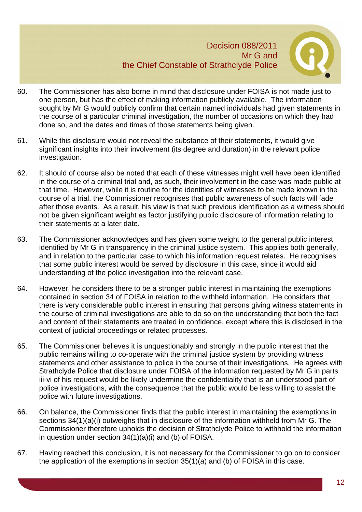

- 60. The Commissioner has also borne in mind that disclosure under FOISA is not made just to one person, but has the effect of making information publicly available. The information sought by Mr G would publicly confirm that certain named individuals had given statements in the course of a particular criminal investigation, the number of occasions on which they had done so, and the dates and times of those statements being given.
- 61. While this disclosure would not reveal the substance of their statements, it would give significant insights into their involvement (its degree and duration) in the relevant police investigation.
- 62. It should of course also be noted that each of these witnesses might well have been identified in the course of a criminal trial and, as such, their involvement in the case was made public at that time. However, while it is routine for the identities of witnesses to be made known in the course of a trial, the Commissioner recognises that public awareness of such facts will fade after those events. As a result, his view is that such previous identification as a witness should not be given significant weight as factor justifying public disclosure of information relating to their statements at a later date.
- 63. The Commissioner acknowledges and has given some weight to the general public interest identified by Mr G in transparency in the criminal justice system. This applies both generally, and in relation to the particular case to which his information request relates. He recognises that some public interest would be served by disclosure in this case, since it would aid understanding of the police investigation into the relevant case.
- 64. However, he considers there to be a stronger public interest in maintaining the exemptions contained in section 34 of FOISA in relation to the withheld information. He considers that there is very considerable public interest in ensuring that persons giving witness statements in the course of criminal investigations are able to do so on the understanding that both the fact and content of their statements are treated in confidence, except where this is disclosed in the context of judicial proceedings or related processes.
- 65. The Commissioner believes it is unquestionably and strongly in the public interest that the public remains willing to co-operate with the criminal justice system by providing witness statements and other assistance to police in the course of their investigations. He agrees with Strathclyde Police that disclosure under FOISA of the information requested by Mr G in parts iii-vi of his request would be likely undermine the confidentiality that is an understood part of police investigations, with the consequence that the public would be less willing to assist the police with future investigations.
- 66. On balance, the Commissioner finds that the public interest in maintaining the exemptions in sections 34(1)(a)(i) outweighs that in disclosure of the information withheld from Mr G. The Commissioner therefore upholds the decision of Strathclyde Police to withhold the information in question under section 34(1)(a)(i) and (b) of FOISA.
- 67. Having reached this conclusion, it is not necessary for the Commissioner to go on to consider the application of the exemptions in section 35(1)(a) and (b) of FOISA in this case.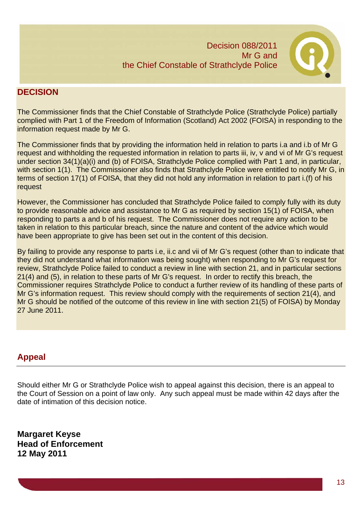

# **DECISION**

The Commissioner finds that the Chief Constable of Strathclyde Police (Strathclyde Police) partially complied with Part 1 of the Freedom of Information (Scotland) Act 2002 (FOISA) in responding to the information request made by Mr G.

The Commissioner finds that by providing the information held in relation to parts i.a and i.b of Mr G request and withholding the requested information in relation to parts iii, iv, v and vi of Mr G's request under section 34(1)(a)(i) and (b) of FOISA, Strathclyde Police complied with Part 1 and, in particular, with section 1(1). The Commissioner also finds that Strathclyde Police were entitled to notify Mr G, in terms of section 17(1) of FOISA, that they did not hold any information in relation to part i.(f) of his request

However, the Commissioner has concluded that Strathclyde Police failed to comply fully with its duty to provide reasonable advice and assistance to Mr G as required by section 15(1) of FOISA, when responding to parts a and b of his request. The Commissioner does not require any action to be taken in relation to this particular breach, since the nature and content of the advice which would have been appropriate to give has been set out in the content of this decision.

By failing to provide any response to parts i.e, ii.c and vii of Mr G's request (other than to indicate that they did not understand what information was being sought) when responding to Mr G's request for review, Strathclyde Police failed to conduct a review in line with section 21, and in particular sections 21(4) and (5), in relation to these parts of Mr G's request. In order to rectify this breach, the Commissioner requires Strathclyde Police to conduct a further review of its handling of these parts of Mr G's information request. This review should comply with the requirements of section 21(4), and Mr G should be notified of the outcome of this review in line with section 21(5) of FOISA) by Monday 27 June 2011.

# **Appeal**

Should either Mr G or Strathclyde Police wish to appeal against this decision, there is an appeal to the Court of Session on a point of law only. Any such appeal must be made within 42 days after the date of intimation of this decision notice.

**Margaret Keyse Head of Enforcement 12 May 2011**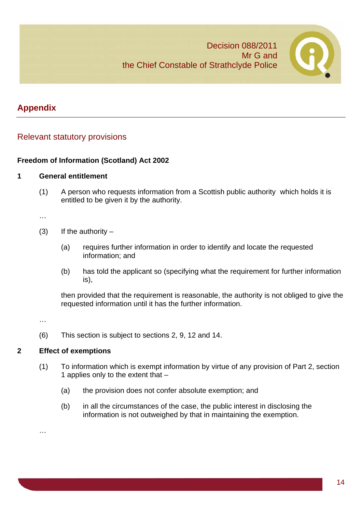

14

# **Appendix**

# Relevant statutory provisions

#### **Freedom of Information (Scotland) Act 2002**

#### **1 General entitlement**

(1) A person who requests information from a Scottish public authority which holds it is entitled to be given it by the authority.

…

- (3) If the authority  $-$ 
	- (a) requires further information in order to identify and locate the requested information; and
	- (b) has told the applicant so (specifying what the requirement for further information is),

then provided that the requirement is reasonable, the authority is not obliged to give the requested information until it has the further information.

…

…

(6) This section is subject to sections 2, 9, 12 and 14.

# **2 Effect of exemptions**

- (1) To information which is exempt information by virtue of any provision of Part 2, section 1 applies only to the extent that –
	- (a) the provision does not confer absolute exemption; and
	- (b) in all the circumstances of the case, the public interest in disclosing the information is not outweighed by that in maintaining the exemption.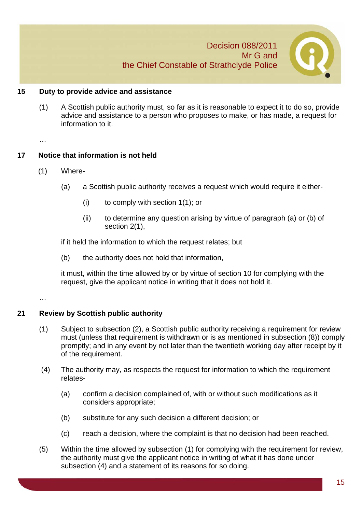

#### **15 Duty to provide advice and assistance**

(1) A Scottish public authority must, so far as it is reasonable to expect it to do so, provide advice and assistance to a person who proposes to make, or has made, a request for information to it.

…

#### **17 Notice that information is not held**

- (1) Where-
	- (a) a Scottish public authority receives a request which would require it either-
		- (i) to comply with section 1(1); or
		- (ii) to determine any question arising by virtue of paragraph (a) or (b) of section 2(1),

if it held the information to which the request relates; but

(b) the authority does not hold that information,

it must, within the time allowed by or by virtue of section 10 for complying with the request, give the applicant notice in writing that it does not hold it.

…

#### **21 Review by Scottish public authority**

- (1) Subject to subsection (2), a Scottish public authority receiving a requirement for review must (unless that requirement is withdrawn or is as mentioned in subsection (8)) comply promptly; and in any event by not later than the twentieth working day after receipt by it of the requirement.
- (4) The authority may, as respects the request for information to which the requirement relates-
	- (a) confirm a decision complained of, with or without such modifications as it considers appropriate;
	- (b) substitute for any such decision a different decision; or
	- (c) reach a decision, where the complaint is that no decision had been reached.
- (5) Within the time allowed by subsection (1) for complying with the requirement for review, the authority must give the applicant notice in writing of what it has done under subsection (4) and a statement of its reasons for so doing.